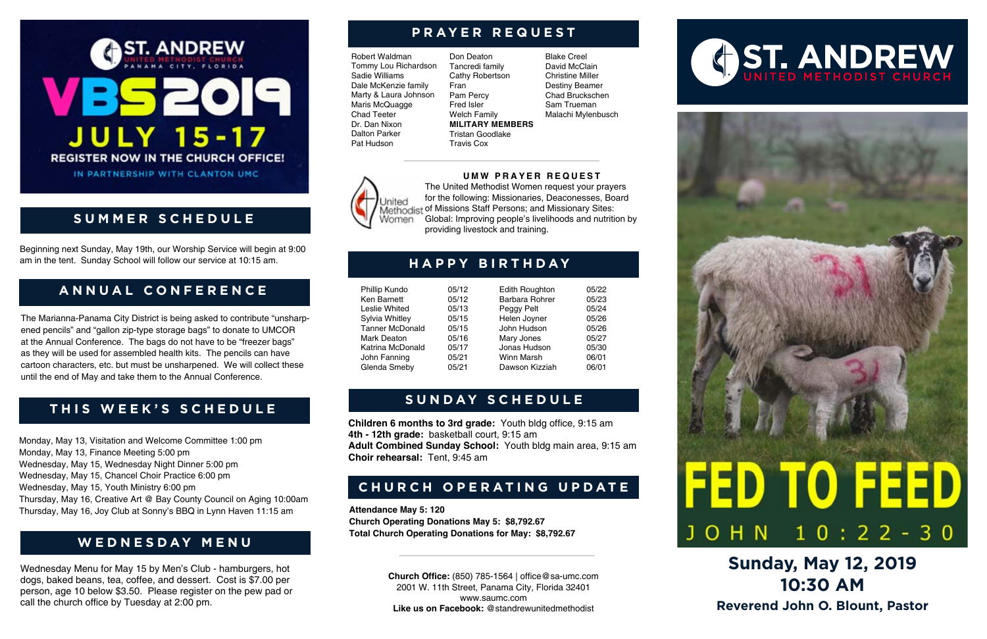# **AST. ANDREW** VBS2 **JULY 15-17 REGISTER NOW IN THE CHURCH OFFICE!**

IN PARTNERSHIP WITH CLANTON UMC

**Church Office:** (850) 785-1564 | office@sa-umc.com 2001 W. 11th Street, Panama City, Florida 32401 www.saumc.com **Like us on Facebook:** @standrewunitedmethodist

# **G ST. ANDREW**

# FED TO FEEL  $10:22-30$ **JOHN**

# **Sunday, May 12, 2019 10:30 AM Reverend John O. Blount, Pastor**

Robert Waldman Tommy Lou Richardson Sadie Williams Dale McKenzie family Marty & Laura Johnson Maris McQuagge Chad Teeter Dr. Dan Nixon Dalton Parker Pat Hudson

**Jnited** 

Women.

# **PRAYER REQUEST**

Don Deaton Tancredi family Cathy Robertson Fran Pam Percy Fred Isler Welch Family **MILITARY MEMBERS** Tristan Goodlake Travis Cox

> Edith Roughton 05/22 Barbara Rohrer 05/23 Peggy Pelt 05/24 Helen Joyner 05/26 John Hudson 05/26 Mary Jones 05/27 Jonas Hudson 05/30 Winn Marsh 06/01 Dawson Kizziah 06/01

Blake Creel David McClain Christine Miller Destiny Beamer Chad Bruckschen Sam Trueman Malachi Mylenbusch





**UMW PRAYER REQUEST** The United Methodist Women request your prayers for the following: Missionaries, Deaconesses, Board

Global: Improving people's livelihoods and nutrition by

providing livestock and training.

Methodist of Missions Staff Persons; and Missionary Sites:

# **HAPPY BIRTHDAY**

| Phillip Kundo          | 05/12 |
|------------------------|-------|
| Ken Barnett            | 05/12 |
| <b>Leslie Whited</b>   | 05/13 |
| Sylvia Whitley         | 05/15 |
| <b>Tanner McDonald</b> | 05/15 |
| Mark Deaton            | 05/16 |
| Katrina McDonald       | 05/17 |
| John Fanning           | 05/21 |
| Glenda Smeby           | 05/21 |

### **THIS WEEK'S SCHEDULE**

Monday, May 13, Visitation and Welcome Committee 1:00 pm Monday, May 13, Finance Meeting 5:00 pm Wednesday, May 15, Wednesday Night Dinner 5:00 pm Wednesday, May 15, Chancel Choir Practice 6:00 pm Wednesday, May 15, Youth Ministry 6:00 pm Thursday, May 16, Creative Art @ Bay County Council on Aging 10:00am Thursday, May 16, Joy Club at Sonny's BBQ in Lynn Haven 11:15 am **Attendance May 5: 120**

**Church Operating Donations May 5: \$8,792.67 Total Church Operating Donations for May: \$8,792.67**

## **CHURCH OPERATING UPDATE**

**Children 6 months to 3rd grade:** Youth bldg office, 9:15 am **4th - 12th grade:** basketball court, 9:15 am **Adult Combined Sunday School:** Youth bldg main area, 9:15 am **Choir rehearsal:** Tent, 9:45 am

Wednesday Menu for May 15 by Men's Club - hamburgers, hot dogs, baked beans, tea, coffee, and dessert. Cost is \$7.00 per person, age 10 below \$3.50. Please register on the pew pad or call the church office by Tuesday at 2:00 pm.

### **WEDNESDAY MENU**

### **SUNDAY SCHEDULE**

## **A N N U A L C O N F E R E N C E**

Beginning next Sunday, May 19th, our Worship Service will begin at 9:00 am in the tent. Sunday School will follow our service at 10:15 am.

## **SUMMER SCHEDULE**

The Marianna-Panama City District is being asked to contribute "unsharpened pencils" and "gallon zip-type storage bags" to donate to UMCOR at the Annual Conference. The bags do not have to be "freezer bags" as they will be used for assembled health kits. The pencils can have cartoon characters, etc. but must be unsharpened. We will collect these until the end of May and take them to the Annual Conference.